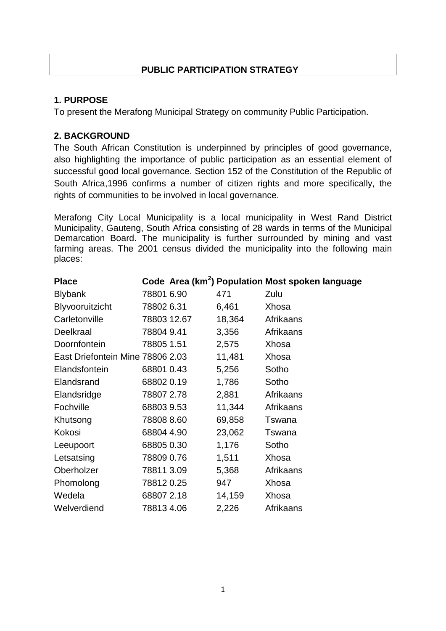# **PUBLIC PARTICIPATION STRATEGY**

## **1. PURPOSE**

To present the Merafong Municipal Strategy on community Public Participation.

## **2. BACKGROUND**

The South African Constitution is underpinned by principles of good governance, also highlighting the importance of public participation as an essential element of successful good local governance. Section 152 of the Constitution of the Republic of South Africa,1996 confirms a number of citizen rights and more specifically, the rights of communities to be involved in local governance.

Merafong City Local Municipality is a [local municipality](https://en.wikipedia.org/wiki/Local_municipality_(South_Africa)) in [West Rand District](https://en.wikipedia.org/wiki/West_Rand_District_Municipality)  [Municipality,](https://en.wikipedia.org/wiki/West_Rand_District_Municipality) [Gauteng,](https://en.wikipedia.org/wiki/Gauteng) [South Africa](https://en.wikipedia.org/wiki/South_Africa) consisting of 28 wards in terms of the Municipal Demarcation Board. The municipality is further surrounded by mining and vast farming areas. The [2001 census](https://en.wikipedia.org/wiki/South_African_National_Census_of_2001) divided the municipality into the following [main](https://en.wikipedia.org/wiki/Populated_place)  [places:](https://en.wikipedia.org/wiki/Populated_place)

| <b>Place</b>                     |             |        | Code Area (km <sup>2</sup> ) Population Most spoken language |
|----------------------------------|-------------|--------|--------------------------------------------------------------|
| <b>Blybank</b>                   | 78801 6.90  | 471    | Zulu                                                         |
| Blyvooruitzicht                  | 78802 6.31  | 6,461  | Xhosa                                                        |
| Carletonville                    | 78803 12.67 | 18,364 | Afrikaans                                                    |
| Deelkraal                        | 78804 9.41  | 3,356  | Afrikaans                                                    |
| Doornfontein                     | 78805 1.51  | 2,575  | Xhosa                                                        |
| East Driefontein Mine 78806 2.03 |             | 11,481 | Xhosa                                                        |
| Elandsfontein                    | 68801 0.43  | 5,256  | Sotho                                                        |
| Elandsrand                       | 68802 0.19  | 1,786  | Sotho                                                        |
| Elandsridge                      | 78807 2.78  | 2,881  | Afrikaans                                                    |
| Fochville                        | 688039.53   | 11,344 | Afrikaans                                                    |
| Khutsong                         | 78808 8.60  | 69,858 | Tswana                                                       |
| Kokosi                           | 68804 4.90  | 23,062 | Tswana                                                       |
| Leeupoort                        | 68805 0.30  | 1,176  | Sotho                                                        |
| Letsatsing                       | 78809 0.76  | 1,511  | Xhosa                                                        |
| Oberholzer                       | 788113.09   | 5,368  | Afrikaans                                                    |
| Phomolong                        | 788120.25   | 947    | Xhosa                                                        |
| Wedela                           | 688072.18   | 14,159 | Xhosa                                                        |
| Welverdiend                      | 788134.06   | 2,226  | Afrikaans                                                    |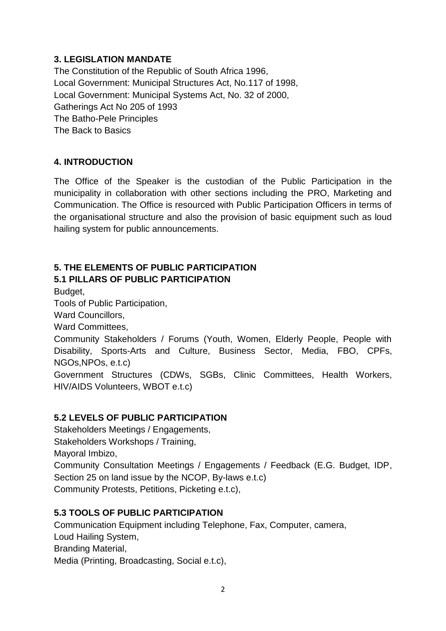## **3. LEGISLATION MANDATE**

The Constitution of the Republic of South Africa 1996, Local Government: Municipal Structures Act, No.117 of 1998, Local Government: Municipal Systems Act, No. 32 of 2000, Gatherings Act No 205 of 1993 The Batho-Pele Principles The Back to Basics

## **4. INTRODUCTION**

The Office of the Speaker is the custodian of the Public Participation in the municipality in collaboration with other sections including the PRO, Marketing and Communication. The Office is resourced with Public Participation Officers in terms of the organisational structure and also the provision of basic equipment such as loud hailing system for public announcements.

## **5. THE ELEMENTS OF PUBLIC PARTICIPATION 5.1 PILLARS OF PUBLIC PARTICIPATION**

Budget,

Tools of Public Participation,

Ward Councillors,

Ward Committees,

Community Stakeholders / Forums (Youth, Women, Elderly People, People with Disability, Sports-Arts and Culture, Business Sector, Media, FBO, CPFs, NGOs,NPOs, e.t.c)

Government Structures (CDWs, SGBs, Clinic Committees, Health Workers, HIV/AIDS Volunteers, WBOT e.t.c)

# **5.2 LEVELS OF PUBLIC PARTICIPATION**

Stakeholders Meetings / Engagements, Stakeholders Workshops / Training, Mayoral Imbizo, Community Consultation Meetings / Engagements / Feedback (E.G. Budget, IDP, Section 25 on land issue by the NCOP, By-laws e.t.c) Community Protests, Petitions, Picketing e.t.c),

## **5.3 TOOLS OF PUBLIC PARTICIPATION**

Communication Equipment including Telephone, Fax, Computer, camera, Loud Hailing System, Branding Material, Media (Printing, Broadcasting, Social e.t.c),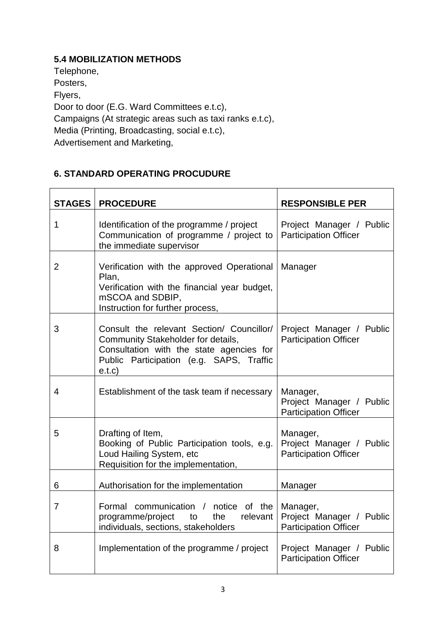## **5.4 MOBILIZATION METHODS**

Telephone, Posters, Flyers, Door to door (E.G. Ward Committees e.t.c), Campaigns (At strategic areas such as taxi ranks e.t.c), Media (Printing, Broadcasting, social e.t.c), Advertisement and Marketing,

## **6. STANDARD OPERATING PROCUDURE**

| <b>STAGES</b>  | <b>PROCEDURE</b>                                                                                                                                                                  | <b>RESPONSIBLE PER</b>                                               |
|----------------|-----------------------------------------------------------------------------------------------------------------------------------------------------------------------------------|----------------------------------------------------------------------|
| 1              | Identification of the programme / project<br>Communication of programme / project to<br>the immediate supervisor                                                                  | Project Manager / Public<br><b>Participation Officer</b>             |
| $\overline{2}$ | Verification with the approved Operational<br>Plan,<br>Verification with the financial year budget,<br>mSCOA and SDBIP,<br>Instruction for further process,                       | Manager                                                              |
| 3              | Consult the relevant Section/ Councillor/<br>Community Stakeholder for details,<br>Consultation with the state agencies for<br>Public Participation (e.g. SAPS, Traffic<br>e.t.c) | Project Manager / Public<br><b>Participation Officer</b>             |
| 4              | Establishment of the task team if necessary                                                                                                                                       | Manager,<br>Project Manager / Public<br><b>Participation Officer</b> |
| 5              | Drafting of Item,<br>Booking of Public Participation tools, e.g.<br>Loud Hailing System, etc<br>Requisition for the implementation,                                               | Manager,<br>Project Manager / Public<br><b>Participation Officer</b> |
| 6              | Authorisation for the implementation                                                                                                                                              | Manager                                                              |
| $\overline{7}$ | Formal communication / notice of the<br>programme/project to<br>the<br>relevant<br>individuals, sections, stakeholders                                                            | Manager,<br>Project Manager / Public<br><b>Participation Officer</b> |
| 8              | Implementation of the programme / project                                                                                                                                         | Project Manager / Public<br><b>Participation Officer</b>             |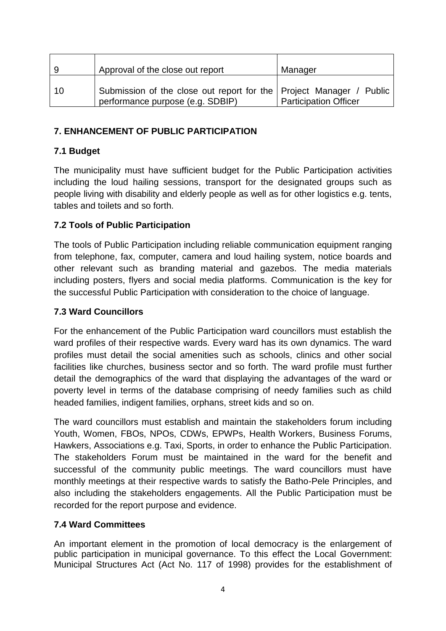| 9  | Approval of the close out report                                                                        | Manager                      |
|----|---------------------------------------------------------------------------------------------------------|------------------------------|
| 10 | Submission of the close out report for the Project Manager / Public<br>performance purpose (e.g. SDBIP) | <b>Participation Officer</b> |

#### **7. ENHANCEMENT OF PUBLIC PARTICIPATION**

#### **7.1 Budget**

The municipality must have sufficient budget for the Public Participation activities including the loud hailing sessions, transport for the designated groups such as people living with disability and elderly people as well as for other logistics e.g. tents, tables and toilets and so forth.

## **7.2 Tools of Public Participation**

The tools of Public Participation including reliable communication equipment ranging from telephone, fax, computer, camera and loud hailing system, notice boards and other relevant such as branding material and gazebos. The media materials including posters, flyers and social media platforms. Communication is the key for the successful Public Participation with consideration to the choice of language.

#### **7.3 Ward Councillors**

For the enhancement of the Public Participation ward councillors must establish the ward profiles of their respective wards. Every ward has its own dynamics. The ward profiles must detail the social amenities such as schools, clinics and other social facilities like churches, business sector and so forth. The ward profile must further detail the demographics of the ward that displaying the advantages of the ward or poverty level in terms of the database comprising of needy families such as child headed families, indigent families, orphans, street kids and so on.

The ward councillors must establish and maintain the stakeholders forum including Youth, Women, FBOs, NPOs, CDWs, EPWPs, Health Workers, Business Forums, Hawkers, Associations e.g. Taxi, Sports, in order to enhance the Public Participation. The stakeholders Forum must be maintained in the ward for the benefit and successful of the community public meetings. The ward councillors must have monthly meetings at their respective wards to satisfy the Batho-Pele Principles, and also including the stakeholders engagements. All the Public Participation must be recorded for the report purpose and evidence.

## **7.4 Ward Committees**

An important element in the promotion of local democracy is the enlargement of public participation in municipal governance. To this effect the Local Government: Municipal Structures Act (Act No. 117 of 1998) provides for the establishment of